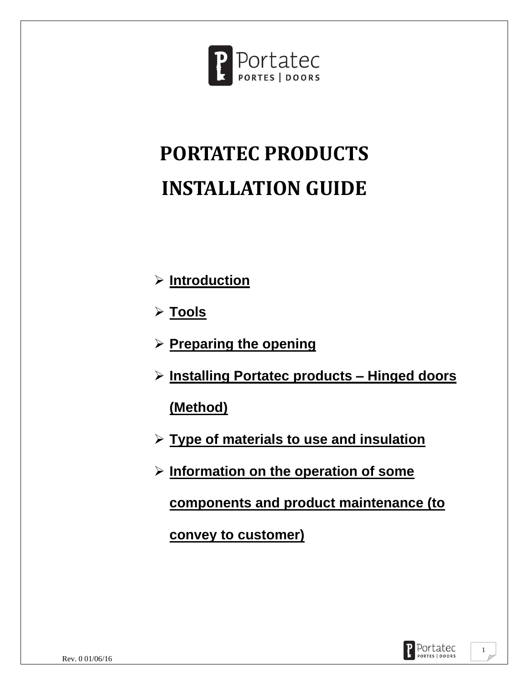

# **PORTATEC PRODUCTS INSTALLATION GUIDE**

- ➢ **Introduction**
- ➢ **Tools**
- ➢ **Preparing the opening**
- ➢ **Installing Portatec products – Hinged doors**

**(Method)**

- ➢ **Type of materials to use and insulation**
- ➢ **Information on the operation of some**

**components and product maintenance (to** 

**convey to customer)** 

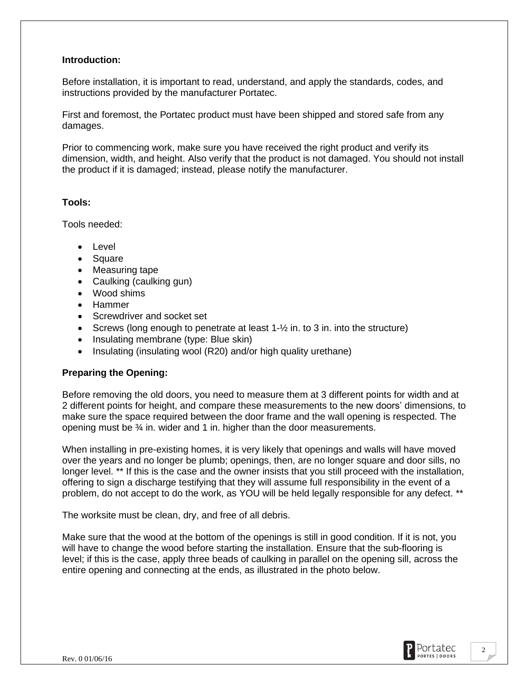## **Introduction:**

Before installation, it is important to read, understand, and apply the standards, codes, and instructions provided by the manufacturer Portatec.

First and foremost, the Portatec product must have been shipped and stored safe from any damages.

Prior to commencing work, make sure you have received the right product and verify its dimension, width, and height. Also verify that the product is not damaged. You should not install the product if it is damaged; instead, please notify the manufacturer.

#### **Tools:**

Tools needed:

- Level
- Square
- Measuring tape
- Caulking (caulking gun)
- Wood shims
- Hammer
- Screwdriver and socket set
- Screws (long enough to penetrate at least  $1-\frac{1}{2}$  in. to 3 in. into the structure)
- Insulating membrane (type: Blue skin)
- Insulating (insulating wool (R20) and/or high quality urethane)

## **Preparing the Opening:**

Before removing the old doors, you need to measure them at 3 different points for width and at 2 different points for height, and compare these measurements to the new doors' dimensions, to make sure the space required between the door frame and the wall opening is respected. The opening must be ¾ in. wider and 1 in. higher than the door measurements.

When installing in pre-existing homes, it is very likely that openings and walls will have moved over the years and no longer be plumb; openings, then, are no longer square and door sills, no longer level. \*\* If this is the case and the owner insists that you still proceed with the installation, offering to sign a discharge testifying that they will assume full responsibility in the event of a problem, do not accept to do the work, as YOU will be held legally responsible for any defect. \*\*

The worksite must be clean, dry, and free of all debris.

Make sure that the wood at the bottom of the openings is still in good condition. If it is not, you will have to change the wood before starting the installation. Ensure that the sub-flooring is level; if this is the case, apply three beads of caulking in parallel on the opening sill, across the entire opening and connecting at the ends, as illustrated in the photo below.

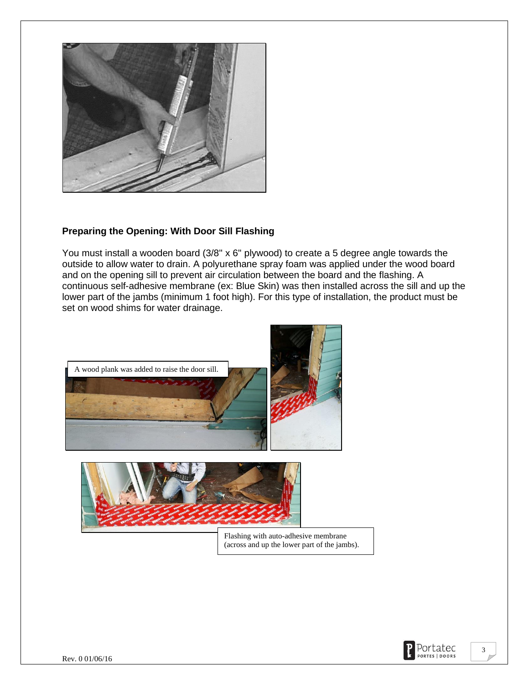

# **Preparing the Opening: With Door Sill Flashing**

You must install a wooden board (3/8'' x 6'' plywood) to create a 5 degree angle towards the outside to allow water to drain. A polyurethane spray foam was applied under the wood board and on the opening sill to prevent air circulation between the board and the flashing. A continuous self-adhesive membrane (ex: Blue Skin) was then installed across the sill and up the lower part of the jambs (minimum 1 foot high). For this type of installation, the product must be set on wood shims for water drainage.





Flashing with auto-adhesive membrane (across and up the lower part of the jambs).

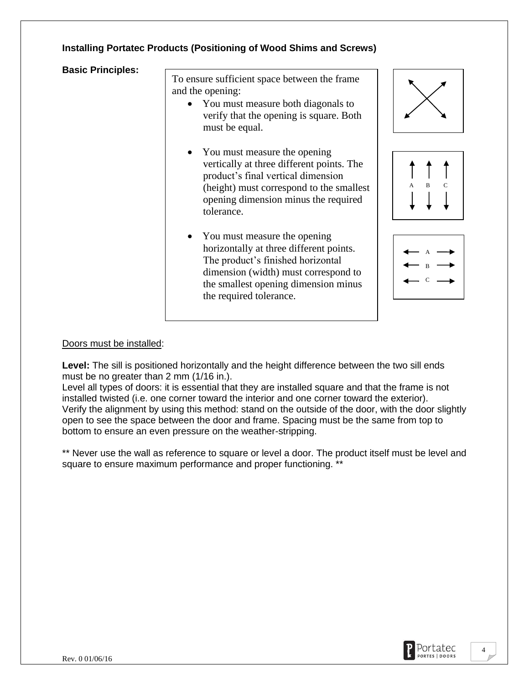# **Installing Portatec Products (Positioning of Wood Shims and Screws)**

**Basic Principles:** 

To ensure sufficient space between the frame and the opening:

- You must measure both diagonals to verify that the opening is square. Both must be equal.
- You must measure the opening vertically at three different points. The product's final vertical dimension (height) must correspond to the smallest opening dimension minus the required tolerance.
- You must measure the opening horizontally at three different points. The product's finished horizontal dimension (width) must correspond to the smallest opening dimension minus the required tolerance.







#### Doors must be installed:

Level: The sill is positioned horizontally and the height difference between the two sill ends must be no greater than 2 mm (1/16 in.).

Level all types of doors: it is essential that they are installed square and that the frame is not installed twisted (i.e. one corner toward the interior and one corner toward the exterior). Verify the alignment by using this method: stand on the outside of the door, with the door slightly open to see the space between the door and frame. Spacing must be the same from top to bottom to ensure an even pressure on the weather-stripping.

\*\* Never use the wall as reference to square or level a door. The product itself must be level and square to ensure maximum performance and proper functioning. \*\*

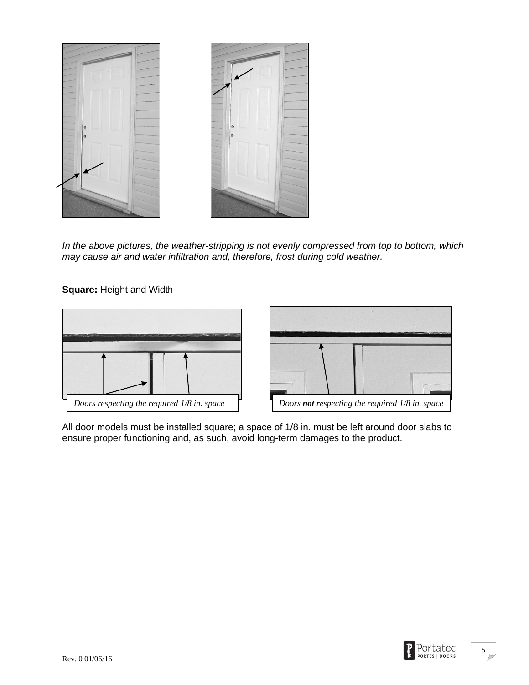

*In the above pictures, the weather-stripping is not evenly compressed from top to bottom, which may cause air and water infiltration and, therefore, frost during cold weather.* 

**Square:** Height and Width



All door models must be installed square; a space of 1/8 in. must be left around door slabs to ensure proper functioning and, as such, avoid long-term damages to the product.

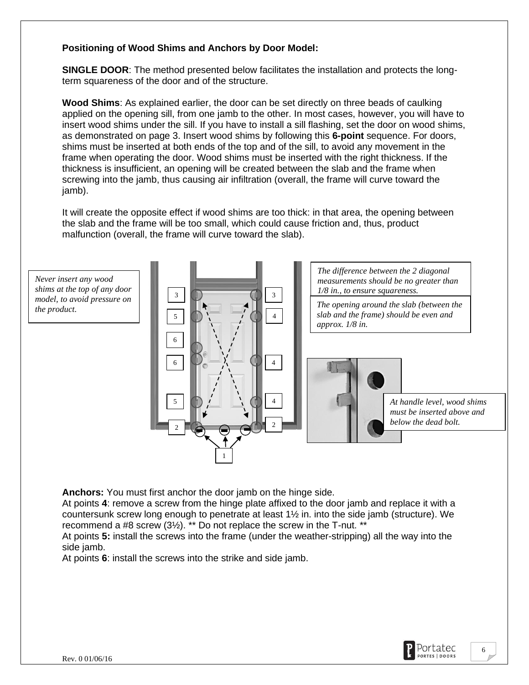# **Positioning of Wood Shims and Anchors by Door Model:**

**SINGLE DOOR**: The method presented below facilitates the installation and protects the longterm squareness of the door and of the structure.

**Wood Shims**: As explained earlier, the door can be set directly on three beads of caulking applied on the opening sill, from one jamb to the other. In most cases, however, you will have to insert wood shims under the sill. If you have to install a sill flashing, set the door on wood shims, as demonstrated on page 3. Insert wood shims by following this **6-point** sequence. For doors, shims must be inserted at both ends of the top and of the sill, to avoid any movement in the frame when operating the door. Wood shims must be inserted with the right thickness. If the thickness is insufficient, an opening will be created between the slab and the frame when screwing into the jamb, thus causing air infiltration (overall, the frame will curve toward the jamb).

It will create the opposite effect if wood shims are too thick: in that area, the opening between the slab and the frame will be too small, which could cause friction and, thus, product malfunction (overall, the frame will curve toward the slab).

*Never insert any wood shims at the top of any door model, to avoid pressure on the product.*



**Anchors:** You must first anchor the door jamb on the hinge side.

At points **4**: remove a screw from the hinge plate affixed to the door jamb and replace it with a countersunk screw long enough to penetrate at least 1½ in. into the side jamb (structure). We recommend a #8 screw (3½). \*\* Do not replace the screw in the T-nut. \*\*

At points **5:** install the screws into the frame (under the weather-stripping) all the way into the side jamb.

At points **6**: install the screws into the strike and side jamb.



6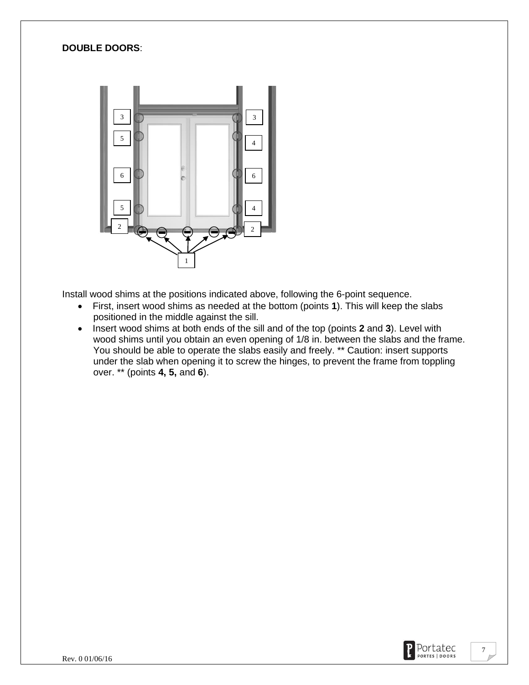# **DOUBLE DOORS**:



Install wood shims at the positions indicated above, following the 6-point sequence.

- First, insert wood shims as needed at the bottom (points **1**). This will keep the slabs positioned in the middle against the sill.
- Insert wood shims at both ends of the sill and of the top (points **2** and **3**). Level with wood shims until you obtain an even opening of 1/8 in. between the slabs and the frame. You should be able to operate the slabs easily and freely. \*\* Caution: insert supports under the slab when opening it to screw the hinges, to prevent the frame from toppling over. \*\* (points **4, 5,** and **6**).

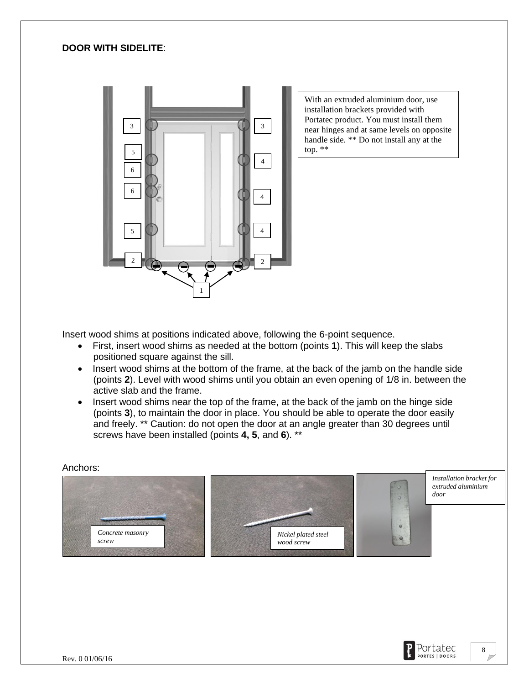## **DOOR WITH SIDELITE**:



With an extruded aluminium door, use installation brackets provided with Portatec product. You must install them near hinges and at same levels on opposite handle side. \*\* Do not install any at the top. \*\*

Insert wood shims at positions indicated above, following the 6-point sequence.

- First, insert wood shims as needed at the bottom (points **1**). This will keep the slabs positioned square against the sill.
- Insert wood shims at the bottom of the frame, at the back of the jamb on the handle side (points **2**). Level with wood shims until you obtain an even opening of 1/8 in. between the active slab and the frame.
- Insert wood shims near the top of the frame, at the back of the jamb on the hinge side (points **3**), to maintain the door in place. You should be able to operate the door easily and freely. \*\* Caution: do not open the door at an angle greater than 30 degrees until screws have been installed (points **4, 5**, and **6**). \*\*

#### Anchors:



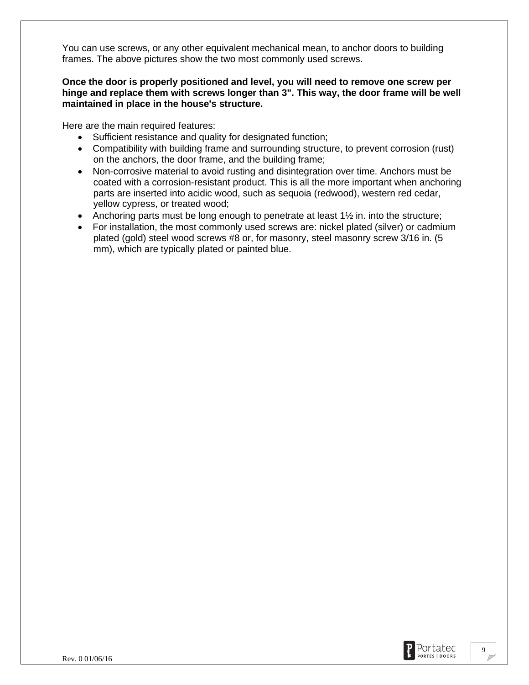You can use screws, or any other equivalent mechanical mean, to anchor doors to building frames. The above pictures show the two most commonly used screws.

## **Once the door is properly positioned and level, you will need to remove one screw per hinge and replace them with screws longer than 3". This way, the door frame will be well maintained in place in the house's structure.**

Here are the main required features:

- Sufficient resistance and quality for designated function;
- Compatibility with building frame and surrounding structure, to prevent corrosion (rust) on the anchors, the door frame, and the building frame;
- Non-corrosive material to avoid rusting and disintegration over time. Anchors must be coated with a corrosion-resistant product. This is all the more important when anchoring parts are inserted into acidic wood, such as sequoia (redwood), western red cedar, yellow cypress, or treated wood;
- Anchoring parts must be long enough to penetrate at least  $1\frac{1}{2}$  in. into the structure;
- For installation, the most commonly used screws are: nickel plated (silver) or cadmium plated (gold) steel wood screws #8 or, for masonry, steel masonry screw 3/16 in. (5 mm), which are typically plated or painted blue.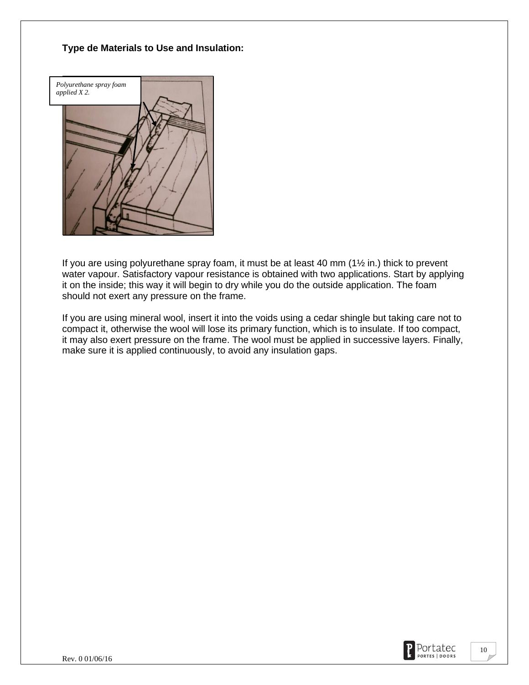# **Type de Materials to Use and Insulation:**



If you are using polyurethane spray foam, it must be at least 40 mm (1½ in.) thick to prevent water vapour. Satisfactory vapour resistance is obtained with two applications. Start by applying it on the inside; this way it will begin to dry while you do the outside application. The foam should not exert any pressure on the frame.

If you are using mineral wool, insert it into the voids using a cedar shingle but taking care not to compact it, otherwise the wool will lose its primary function, which is to insulate. If too compact, it may also exert pressure on the frame. The wool must be applied in successive layers. Finally, make sure it is applied continuously, to avoid any insulation gaps.

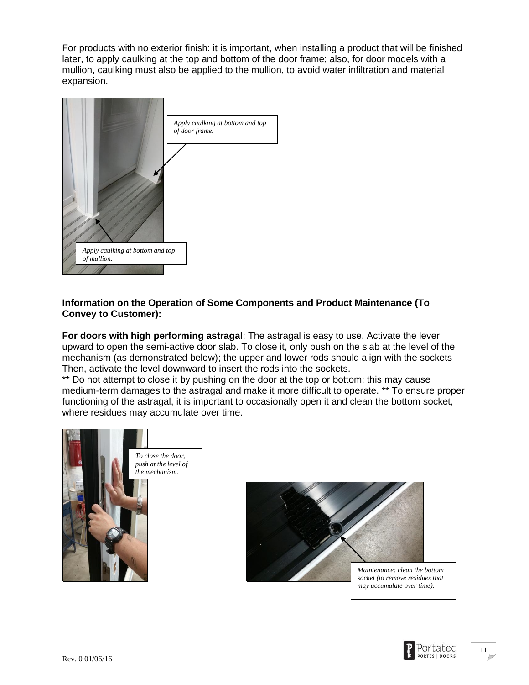For products with no exterior finish: it is important, when installing a product that will be finished later, to apply caulking at the top and bottom of the door frame; also, for door models with a mullion, caulking must also be applied to the mullion, to avoid water infiltration and material expansion.



# **Information on the Operation of Some Components and Product Maintenance (To Convey to Customer):**

**For doors with high performing astragal**: The astragal is easy to use. Activate the lever upward to open the semi-active door slab. To close it, only push on the slab at the level of the mechanism (as demonstrated below); the upper and lower rods should align with the sockets Then, activate the level downward to insert the rods into the sockets.

\*\* Do not attempt to close it by pushing on the door at the top or bottom; this may cause medium-term damages to the astragal and make it more difficult to operate. \*\* To ensure proper functioning of the astragal, it is important to occasionally open it and clean the bottom socket, where residues may accumulate over time.





*Maintenance: clean the bottom socket (to remove residues that may accumulate over time).*